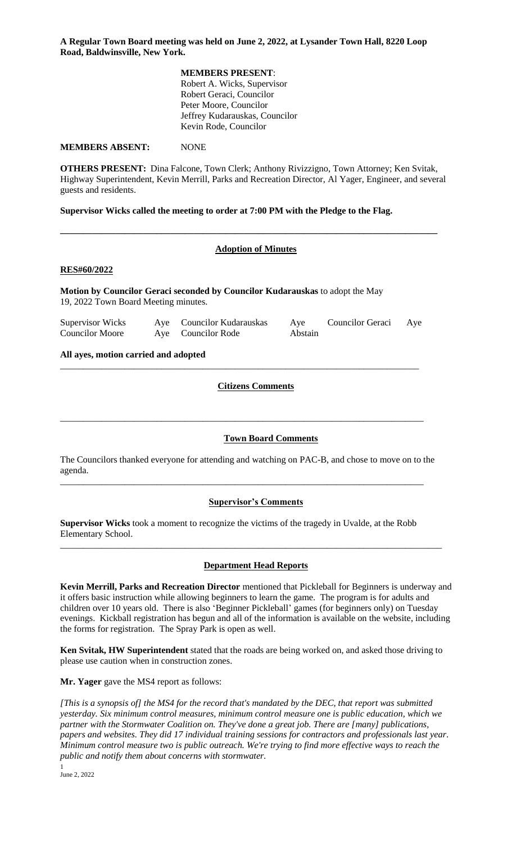**A Regular Town Board meeting was held on June 2, 2022, at Lysander Town Hall, 8220 Loop Road, Baldwinsville, New York.**

### **MEMBERS PRESENT**:

Robert A. Wicks, Supervisor Robert Geraci, Councilor Peter Moore, Councilor Jeffrey Kudarauskas, Councilor Kevin Rode, Councilor

**MEMBERS ABSENT:** NONE

**OTHERS PRESENT:** Dina Falcone, Town Clerk; Anthony Rivizzigno, Town Attorney; Ken Svitak, Highway Superintendent, Kevin Merrill, Parks and Recreation Director, Al Yager, Engineer, and several guests and residents.

**Supervisor Wicks called the meeting to order at 7:00 PM with the Pledge to the Flag.** 

# **Adoption of Minutes**

**\_\_\_\_\_\_\_\_\_\_\_\_\_\_\_\_\_\_\_\_\_\_\_\_\_\_\_\_\_\_\_\_\_\_\_\_\_\_\_\_\_\_\_\_\_\_\_\_\_\_\_\_\_\_\_\_\_\_\_\_\_\_\_\_\_\_\_\_\_\_\_\_\_\_\_\_\_\_\_\_\_\_** 

## **RES#60/2022**

**Motion by Councilor Geraci seconded by Councilor Kudarauskas** to adopt the May 19, 2022 Town Board Meeting minutes.

| <b>Supervisor Wicks</b> | Aye Councilor Kudarauskas | Aye     | Councilor Geraci | Aye |
|-------------------------|---------------------------|---------|------------------|-----|
| <b>Councilor Moore</b>  | Aye Councilor Rode        | Abstain |                  |     |

\_\_\_\_\_\_\_\_\_\_\_\_\_\_\_\_\_\_\_\_\_\_\_\_\_\_\_\_\_\_\_\_\_\_\_\_\_\_\_\_\_\_\_\_\_\_\_\_\_\_\_\_\_\_\_\_\_\_\_\_\_\_\_\_\_\_\_\_\_\_\_\_\_\_\_\_\_\_

\_\_\_\_\_\_\_\_\_\_\_\_\_\_\_\_\_\_\_\_\_\_\_\_\_\_\_\_\_\_\_\_\_\_\_\_\_\_\_\_\_\_\_\_\_\_\_\_\_\_\_\_\_\_\_\_\_\_\_\_\_\_\_\_\_\_\_\_\_\_\_\_\_\_\_\_\_\_\_

**All ayes, motion carried and adopted** 

# **Citizens Comments**

# **Town Board Comments**

The Councilors thanked everyone for attending and watching on PAC-B, and chose to move on to the agenda.

\_\_\_\_\_\_\_\_\_\_\_\_\_\_\_\_\_\_\_\_\_\_\_\_\_\_\_\_\_\_\_\_\_\_\_\_\_\_\_\_\_\_\_\_\_\_\_\_\_\_\_\_\_\_\_\_\_\_\_\_\_\_\_\_\_\_\_\_\_\_\_\_\_\_\_\_\_\_\_

# **Supervisor's Comments**

**Supervisor Wicks** took a moment to recognize the victims of the tragedy in Uvalde, at the Robb Elementary School.

# **Department Head Reports**

\_\_\_\_\_\_\_\_\_\_\_\_\_\_\_\_\_\_\_\_\_\_\_\_\_\_\_\_\_\_\_\_\_\_\_\_\_\_\_\_\_\_\_\_\_\_\_\_\_\_\_\_\_\_\_\_\_\_\_\_\_\_\_\_\_\_\_\_\_\_\_\_\_\_\_\_\_\_\_\_\_\_\_

**Kevin Merrill, Parks and Recreation Director** mentioned that Pickleball for Beginners is underway and it offers basic instruction while allowing beginners to learn the game. The program is for adults and children over 10 years old. There is also 'Beginner Pickleball' games (for beginners only) on Tuesday evenings. Kickball registration has begun and all of the information is available on the website, including the forms for registration. The Spray Park is open as well.

**Ken Svitak, HW Superintendent** stated that the roads are being worked on, and asked those driving to please use caution when in construction zones.

**Mr. Yager** gave the MS4 report as follows:

*[This is a synopsis of] the MS4 for the record that's mandated by the DEC, that report was submitted yesterday. Six minimum control measures, minimum control measure one is public education, which we partner with the Stormwater Coalition on. They've done a great job. There are [many] publications, papers and websites. They did 17 individual training sessions for contractors and professionals last year. Minimum control measure two is public outreach. We're trying to find more effective ways to reach the public and notify them about concerns with stormwater.* 

1 June 2, 2022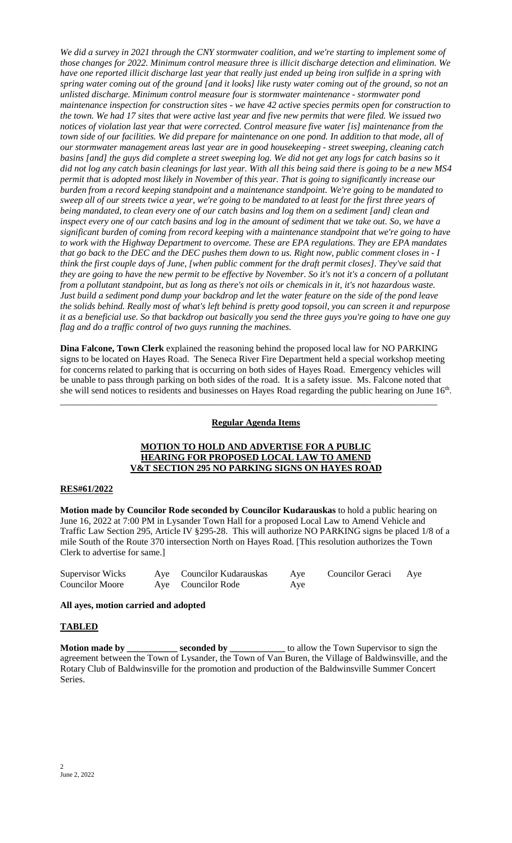*We did a survey in 2021 through the CNY stormwater coalition, and we're starting to implement some of those changes for 2022. Minimum control measure three is illicit discharge detection and elimination. We have one reported illicit discharge last year that really just ended up being iron sulfide in a spring with spring water coming out of the ground [and it looks] like rusty water coming out of the ground, so not an unlisted discharge. Minimum control measure four is stormwater maintenance - stormwater pond maintenance inspection for construction sites - we have 42 active species permits open for construction to the town. We had 17 sites that were active last year and five new permits that were filed. We issued two notices of violation last year that were corrected. Control measure five water [is] maintenance from the town side of our facilities. We did prepare for maintenance on one pond. In addition to that mode, all of our stormwater management areas last year are in good housekeeping - street sweeping, cleaning catch basins [and] the guys did complete a street sweeping log. We did not get any logs for catch basins so it did not log any catch basin cleanings for last year. With all this being said there is going to be a new MS4 permit that is adopted most likely in November of this year. That is going to significantly increase our burden from a record keeping standpoint and a maintenance standpoint. We're going to be mandated to sweep all of our streets twice a year, we're going to be mandated to at least for the first three years of being mandated, to clean every one of our catch basins and log them on a sediment [and] clean and inspect every one of our catch basins and log in the amount of sediment that we take out. So, we have a significant burden of coming from record keeping with a maintenance standpoint that we're going to have to work with the Highway Department to overcome. These are EPA regulations. They are EPA mandates that go back to the DEC and the DEC pushes them down to us. Right now, public comment closes in - I think the first couple days of June, [when public comment for the draft permit closes]. They've said that they are going to have the new permit to be effective by November. So it's not it's a concern of a pollutant from a pollutant standpoint, but as long as there's not oils or chemicals in it, it's not hazardous waste. Just build a sediment pond dump your backdrop and let the water feature on the side of the pond leave the solids behind. Really most of what's left behind is pretty good topsoil, you can screen it and repurpose it as a beneficial use. So that backdrop out basically you send the three guys you're going to have one guy flag and do a traffic control of two guys running the machines.*

**Dina Falcone, Town Clerk** explained the reasoning behind the proposed local law for NO PARKING signs to be located on Hayes Road. The Seneca River Fire Department held a special workshop meeting for concerns related to parking that is occurring on both sides of Hayes Road. Emergency vehicles will be unable to pass through parking on both sides of the road. It is a safety issue. Ms. Falcone noted that she will send notices to residents and businesses on Hayes Road regarding the public hearing on June 16<sup>th</sup>.

# **Regular Agenda Items**

\_\_\_\_\_\_\_\_\_\_\_\_\_\_\_\_\_\_\_\_\_\_\_\_\_\_\_\_\_\_\_\_\_\_\_\_\_\_\_\_\_\_\_\_\_\_\_\_\_\_\_\_\_\_\_\_\_\_\_\_\_\_\_\_\_\_\_\_\_\_\_\_\_\_\_\_\_\_\_\_\_\_

# **MOTION TO HOLD AND ADVERTISE FOR A PUBLIC HEARING FOR PROPOSED LOCAL LAW TO AMEND V&T SECTION 295 NO PARKING SIGNS ON HAYES ROAD**

# **RES#61/2022**

**Motion made by Councilor Rode seconded by Councilor Kudarauskas** to hold a public hearing on June 16, 2022 at 7:00 PM in Lysander Town Hall for a proposed Local Law to Amend Vehicle and Traffic Law Section 295, Article IV §295-28. This will authorize NO PARKING signs be placed 1/8 of a mile South of the Route 370 intersection North on Hayes Road. [This resolution authorizes the Town Clerk to advertise for same.]

| <b>Supervisor Wicks</b> | Aye Councilor Kudarauskas | Aye | Councilor Geraci Aye |  |
|-------------------------|---------------------------|-----|----------------------|--|
| <b>Councilor Moore</b>  | Aye Councilor Rode        | Aye |                      |  |

## **All ayes, motion carried and adopted**

# **TABLED**

**Motion made by \_\_\_\_\_\_\_\_\_\_\_ seconded by \_\_\_\_\_\_\_\_\_\_\_** to allow the Town Supervisor to sign the agreement between the Town of Lysander, the Town of Van Buren, the Village of Baldwinsville, and the Rotary Club of Baldwinsville for the promotion and production of the Baldwinsville Summer Concert Series.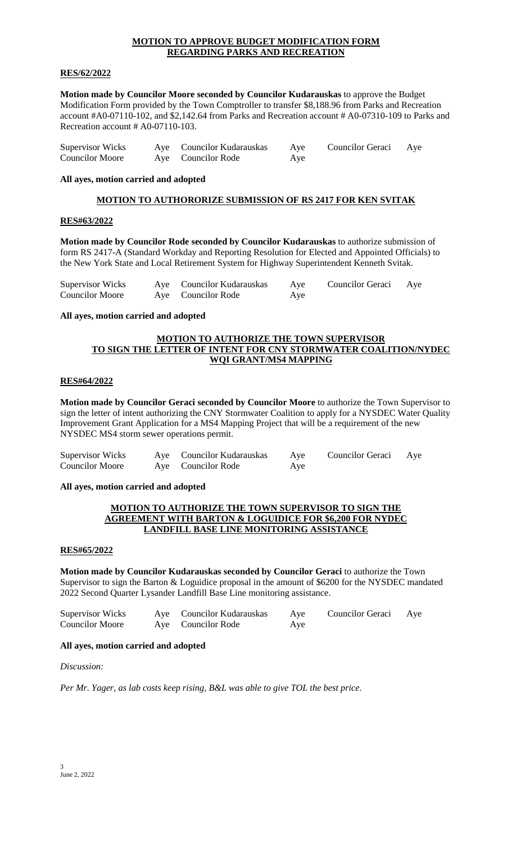# **MOTION TO APPROVE BUDGET MODIFICATION FORM REGARDING PARKS AND RECREATION**

# **RES/62/2022**

**Motion made by Councilor Moore seconded by Councilor Kudarauskas** to approve the Budget Modification Form provided by the Town Comptroller to transfer \$8,188.96 from Parks and Recreation account #A0-07110-102, and \$2,142.64 from Parks and Recreation account # A0-07310-109 to Parks and Recreation account # A0-07110-103.

| <b>Supervisor Wicks</b> | Aye Councilor Kudarauskas | Aye | Councilor Geraci Aye |  |
|-------------------------|---------------------------|-----|----------------------|--|
| <b>Councilor Moore</b>  | Aye Councilor Rode        | Aye |                      |  |

## **All ayes, motion carried and adopted**

# **MOTION TO AUTHORORIZE SUBMISSION OF RS 2417 FOR KEN SVITAK**

# **RES#63/2022**

**Motion made by Councilor Rode seconded by Councilor Kudarauskas** to authorize submission of form RS 2417-A (Standard Workday and Reporting Resolution for Elected and Appointed Officials) to the New York State and Local Retirement System for Highway Superintendent Kenneth Svitak.

| <b>Supervisor Wicks</b> | Aye Councilor Kudarauskas | Ave | Councilor Geraci | Aye |
|-------------------------|---------------------------|-----|------------------|-----|
| <b>Councilor Moore</b>  | Ave Councilor Rode        | Ave |                  |     |

#### **All ayes, motion carried and adopted**

# **MOTION TO AUTHORIZE THE TOWN SUPERVISOR TO SIGN THE LETTER OF INTENT FOR CNY STORMWATER COALITION/NYDEC WQI GRANT/MS4 MAPPING**

## **RES#64/2022**

**Motion made by Councilor Geraci seconded by Councilor Moore** to authorize the Town Supervisor to sign the letter of intent authorizing the CNY Stormwater Coalition to apply for a NYSDEC Water Quality Improvement Grant Application for a MS4 Mapping Project that will be a requirement of the new NYSDEC MS4 storm sewer operations permit.

| Supervisor Wicks       | Aye Councilor Kudarauskas | Aye | <b>Councilor Geraci</b> | Aye |
|------------------------|---------------------------|-----|-------------------------|-----|
| <b>Councilor Moore</b> | Aye Councilor Rode        | Aye |                         |     |

#### **All ayes, motion carried and adopted**

## **MOTION TO AUTHORIZE THE TOWN SUPERVISOR TO SIGN THE AGREEMENT WITH BARTON & LOGUIDICE FOR \$6,200 FOR NYDEC LANDFILL BASE LINE MONITORING ASSISTANCE**

# **RES#65/2022**

**Motion made by Councilor Kudarauskas seconded by Councilor Geraci** to authorize the Town Supervisor to sign the Barton & Loguidice proposal in the amount of \$6200 for the NYSDEC mandated 2022 Second Quarter Lysander Landfill Base Line monitoring assistance.

| Supervisor Wicks       | Aye Councilor Kudarauskas | Aye | Councilor Geraci Aye |  |
|------------------------|---------------------------|-----|----------------------|--|
| <b>Councilor Moore</b> | Aye Councilor Rode        | Aye |                      |  |

### **All ayes, motion carried and adopted**

*Discussion:*

*Per Mr. Yager, as lab costs keep rising, B&L was able to give TOL the best price.*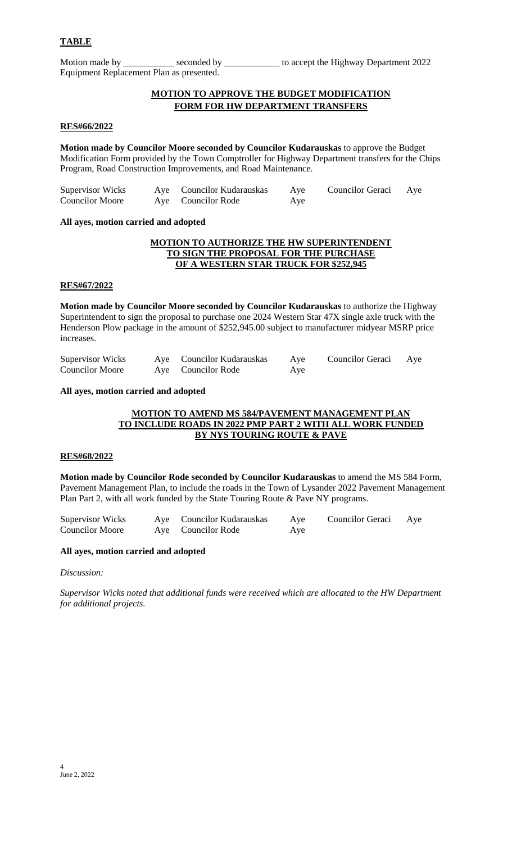Motion made by \_\_\_\_\_\_\_\_\_\_\_\_ seconded by \_\_\_\_\_\_\_\_\_\_\_\_\_ to accept the Highway Department 2022 Equipment Replacement Plan as presented.

# **MOTION TO APPROVE THE BUDGET MODIFICATION FORM FOR HW DEPARTMENT TRANSFERS**

## **RES#66/2022**

**Motion made by Councilor Moore seconded by Councilor Kudarauskas** to approve the Budget Modification Form provided by the Town Comptroller for Highway Department transfers for the Chips Program, Road Construction Improvements, and Road Maintenance.

| Supervisor Wicks       | Aye Councilor Kudarauskas | Aye | Councilor Geraci Aye |  |
|------------------------|---------------------------|-----|----------------------|--|
| <b>Councilor Moore</b> | Aye Councilor Rode        | Aye |                      |  |

#### **All ayes, motion carried and adopted**

# **MOTION TO AUTHORIZE THE HW SUPERINTENDENT TO SIGN THE PROPOSAL FOR THE PURCHASE OF A WESTERN STAR TRUCK FOR \$252,945**

#### **RES#67/2022**

**Motion made by Councilor Moore seconded by Councilor Kudarauskas** to authorize the Highway Superintendent to sign the proposal to purchase one 2024 Western Star 47X single axle truck with the Henderson Plow package in the amount of \$252,945.00 subject to manufacturer midyear MSRP price increases.

| <b>Supervisor Wicks</b> | Aye Councilor Kudarauskas | Aye | Councilor Geraci | Aye |
|-------------------------|---------------------------|-----|------------------|-----|
| <b>Councilor Moore</b>  | Ave Councilor Rode        | Ave |                  |     |

#### **All ayes, motion carried and adopted**

# **MOTION TO AMEND MS 584/PAVEMENT MANAGEMENT PLAN TO INCLUDE ROADS IN 2022 PMP PART 2 WITH ALL WORK FUNDED BY NYS TOURING ROUTE & PAVE**

#### **RES#68/2022**

**Motion made by Councilor Rode seconded by Councilor Kudarauskas** to amend the MS 584 Form, Pavement Management Plan, to include the roads in the Town of Lysander 2022 Pavement Management Plan Part 2, with all work funded by the State Touring Route & Pave NY programs.

Supervisor Wicks Aye Councilor Kudarauskas Aye Councilor Geraci Aye Councilor Moore Aye Councilor Rode Aye

# **All ayes, motion carried and adopted**

#### *Discussion:*

*Supervisor Wicks noted that additional funds were received which are allocated to the HW Department for additional projects.*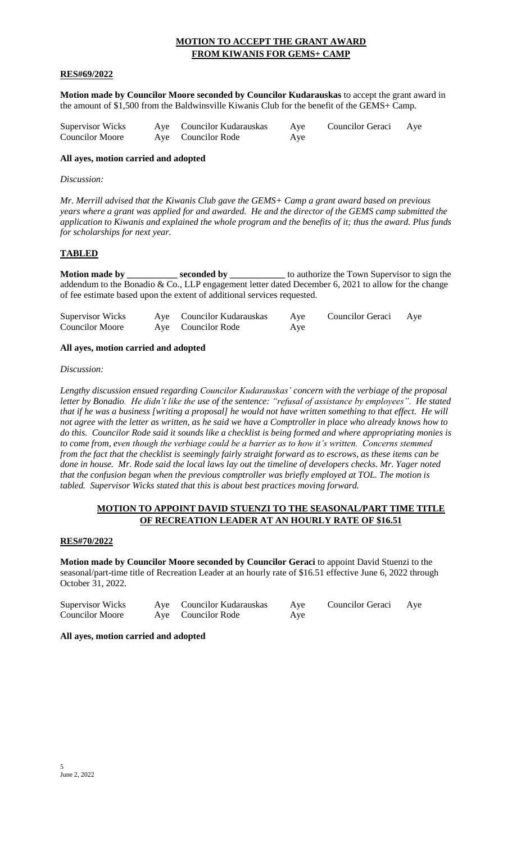# **MOTION TO ACCEPT THE GRANT AWARD FROM KIWANIS FOR GEMS+ CAMP**

# **RES#69/2022**

**Motion made by Councilor Moore seconded by Councilor Kudarauskas** to accept the grant award in the amount of \$1,500 from the Baldwinsville Kiwanis Club for the benefit of the GEMS+ Camp.

| Supervisor Wicks       | Aye Councilor Kudarauskas | Aye | Councilor Geraci Aye |  |
|------------------------|---------------------------|-----|----------------------|--|
| <b>Councilor Moore</b> | Aye Councilor Rode        | Aye |                      |  |

#### **All ayes, motion carried and adopted**

## *Discussion:*

*Mr. Merrill advised that the Kiwanis Club gave the GEMS+ Camp a grant award based on previous years where a grant was applied for and awarded. He and the director of the GEMS camp submitted the application to Kiwanis and explained the whole program and the benefits of it; thus the award. Plus funds for scholarships for next year.* 

# **TABLED**

**Motion made by \_\_\_\_\_\_\_\_\_\_\_\_ seconded by \_\_\_\_\_\_\_\_\_\_\_** to authorize the Town Supervisor to sign the addendum to the Bonadio & Co., LLP engagement letter dated December 6, 2021 to allow for the change of fee estimate based upon the extent of additional services requested.

|  | Supervisor Wicks<br><b>Councilor Moore</b> |  | Aye Councilor Kudarauskas<br>Aye Councilor Rode | Aye<br>Aye | Councilor Geraci Aye |  |
|--|--------------------------------------------|--|-------------------------------------------------|------------|----------------------|--|
|--|--------------------------------------------|--|-------------------------------------------------|------------|----------------------|--|

# **All ayes, motion carried and adopted**

#### *Discussion:*

*Lengthy discussion ensued regarding Councilor Kudarauskas' concern with the verbiage of the proposal letter by Bonadio. He didn't like the use of the sentence: "refusal of assistance by employees". He stated that if he was a business [writing a proposal] he would not have written something to that effect. He will not agree with the letter as written, as he said we have a Comptroller in place who already knows how to do this. Councilor Rode said it sounds like a checklist is being formed and where appropriating monies is to come from, even though the verbiage could be a barrier as to how it's written. Concerns stemmed from the fact that the checklist is seemingly fairly straight forward as to escrows, as these items can be done in house. Mr. Rode said the local laws lay out the timeline of developers checks. Mr. Yager noted that the confusion began when the previous comptroller was briefly employed at TOL. The motion is tabled. Supervisor Wicks stated that this is about best practices moving forward.*

# **MOTION TO APPOINT DAVID STUENZI TO THE SEASONAL/PART TIME TITLE OF RECREATION LEADER AT AN HOURLY RATE OF \$16.51**

#### **RES#70/2022**

**Motion made by Councilor Moore seconded by Councilor Geraci** to appoint David Stuenzi to the seasonal/part-time title of Recreation Leader at an hourly rate of \$16.51 effective June 6, 2022 through October 31, 2022.

| Supervisor Wicks       | Aye Councilor Kudarauskas | Aye | Councilor Geraci | Aye |
|------------------------|---------------------------|-----|------------------|-----|
| <b>Councilor Moore</b> | Aye Councilor Rode        | Aye |                  |     |

## **All ayes, motion carried and adopted**